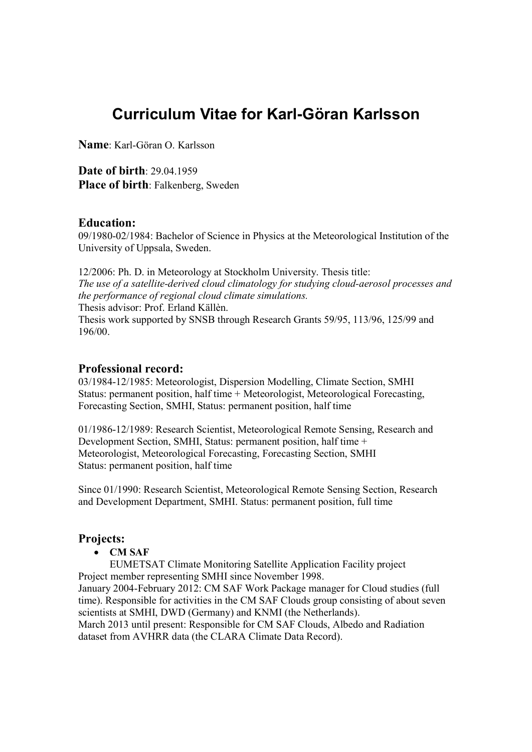# Curriculum Vitae for Karl-Göran Karlsson

Name: Karl-Göran O. Karlsson

Date of birth: 29.04.1959 Place of birth: Falkenberg, Sweden

### Education:

09/1980-02/1984: Bachelor of Science in Physics at the Meteorological Institution of the University of Uppsala, Sweden.

12/2006: Ph. D. in Meteorology at Stockholm University. Thesis title: The use of a satellite-derived cloud climatology for studying cloud-aerosol processes and the performance of regional cloud climate simulations. Thesis advisor: Prof. Erland Källèn. Thesis work supported by SNSB through Research Grants 59/95, 113/96, 125/99 and 196/00.

#### Professional record:

03/1984-12/1985: Meteorologist, Dispersion Modelling, Climate Section, SMHI Status: permanent position, half time + Meteorologist, Meteorological Forecasting, Forecasting Section, SMHI, Status: permanent position, half time

01/1986-12/1989: Research Scientist, Meteorological Remote Sensing, Research and Development Section, SMHI, Status: permanent position, half time + Meteorologist, Meteorological Forecasting, Forecasting Section, SMHI Status: permanent position, half time

Since 01/1990: Research Scientist, Meteorological Remote Sensing Section, Research and Development Department, SMHI. Status: permanent position, full time

### Projects:

CM SAF

EUMETSAT Climate Monitoring Satellite Application Facility project Project member representing SMHI since November 1998. January 2004-February 2012: CM SAF Work Package manager for Cloud studies (full time). Responsible for activities in the CM SAF Clouds group consisting of about seven scientists at SMHI, DWD (Germany) and KNMI (the Netherlands). March 2013 until present: Responsible for CM SAF Clouds, Albedo and Radiation

dataset from AVHRR data (the CLARA Climate Data Record).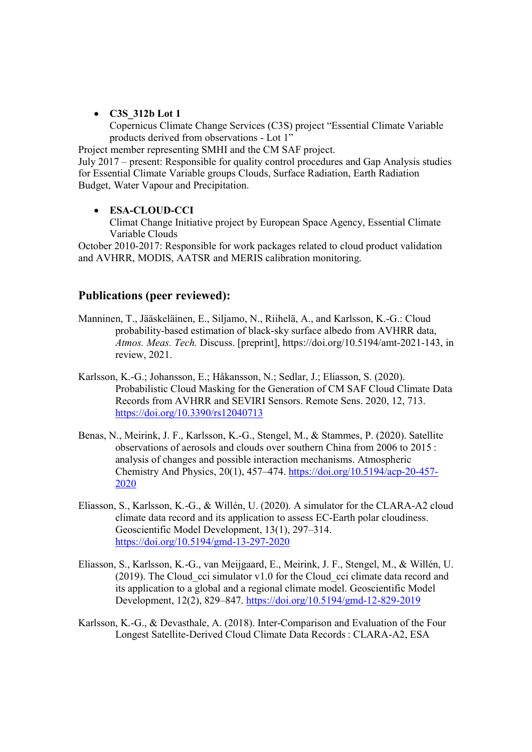• C3S 312b Lot 1

Copernicus Climate Change Services (C3S) project "Essential Climate Variable products derived from observations - Lot 1"

Project member representing SMHI and the CM SAF project.

July 2017 – present: Responsible for quality control procedures and Gap Analysis studies for Essential Climate Variable groups Clouds, Surface Radiation, Earth Radiation Budget, Water Vapour and Precipitation.

#### ESA-CLOUD-CCI

Climat Change Initiative project by European Space Agency, Essential Climate Variable Clouds

October 2010-2017: Responsible for work packages related to cloud product validation and AVHRR, MODIS, AATSR and MERIS calibration monitoring.

## Publications (peer reviewed):

- Manninen, T., Jääskeläinen, E., Siljamo, N., Riihelä, A., and Karlsson, K.-G.: Cloud probability-based estimation of black-sky surface albedo from AVHRR data, Atmos. Meas. Tech. Discuss. [preprint], https://doi.org/10.5194/amt-2021-143, in review, 2021.
- Karlsson, K.-G.; Johansson, E.; Håkansson, N.; Sedlar, J.; Eliasson, S. (2020). Probabilistic Cloud Masking for the Generation of CM SAF Cloud Climate Data Records from AVHRR and SEVIRI Sensors. Remote Sens. 2020, 12, 713. https://doi.org/10.3390/rs12040713
- Benas, N., Meirink, J. F., Karlsson, K.-G., Stengel, M., & Stammes, P. (2020). Satellite observations of aerosols and clouds over southern China from 2006 to 2015 : analysis of changes and possible interaction mechanisms. Atmospheric Chemistry And Physics, 20(1), 457–474. https://doi.org/10.5194/acp-20-457- 2020
- Eliasson, S., Karlsson, K.-G., & Willén, U. (2020). A simulator for the CLARA-A2 cloud climate data record and its application to assess EC-Earth polar cloudiness. Geoscientific Model Development, 13(1), 297–314. https://doi.org/10.5194/gmd-13-297-2020
- Eliasson, S., Karlsson, K.-G., van Meijgaard, E., Meirink, J. F., Stengel, M., & Willén, U.  $(2019)$ . The Cloud cci simulator v1.0 for the Cloud cci climate data record and its application to a global and a regional climate model. Geoscientific Model Development, 12(2), 829–847. https://doi.org/10.5194/gmd-12-829-2019
- Karlsson, K.-G., & Devasthale, A. (2018). Inter-Comparison and Evaluation of the Four Longest Satellite-Derived Cloud Climate Data Records : CLARA-A2, ESA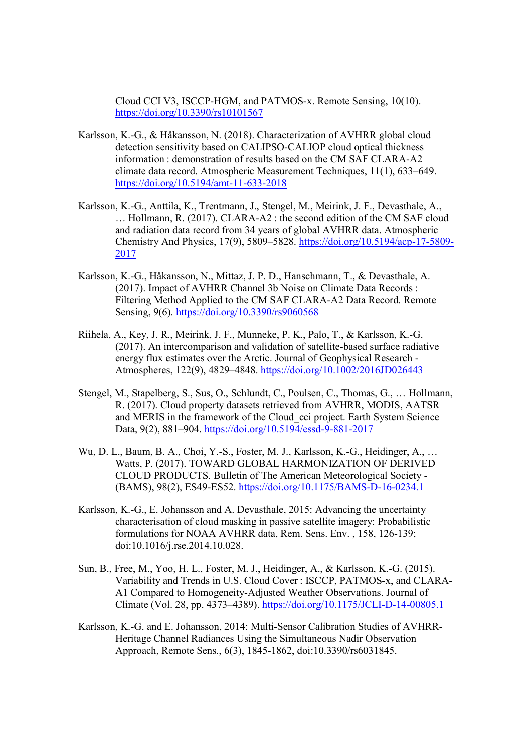Cloud CCI V3, ISCCP-HGM, and PATMOS-x. Remote Sensing, 10(10). https://doi.org/10.3390/rs10101567

- Karlsson, K.-G., & Håkansson, N. (2018). Characterization of AVHRR global cloud detection sensitivity based on CALIPSO-CALIOP cloud optical thickness information : demonstration of results based on the CM SAF CLARA-A2 climate data record. Atmospheric Measurement Techniques, 11(1), 633–649. https://doi.org/10.5194/amt-11-633-2018
- Karlsson, K.-G., Anttila, K., Trentmann, J., Stengel, M., Meirink, J. F., Devasthale, A., … Hollmann, R. (2017). CLARA-A2 : the second edition of the CM SAF cloud and radiation data record from 34 years of global AVHRR data. Atmospheric Chemistry And Physics, 17(9), 5809–5828. https://doi.org/10.5194/acp-17-5809- 2017
- Karlsson, K.-G., Håkansson, N., Mittaz, J. P. D., Hanschmann, T., & Devasthale, A. (2017). Impact of AVHRR Channel 3b Noise on Climate Data Records : Filtering Method Applied to the CM SAF CLARA-A2 Data Record. Remote Sensing, 9(6). https://doi.org/10.3390/rs9060568
- Riihela, A., Key, J. R., Meirink, J. F., Munneke, P. K., Palo, T., & Karlsson, K.-G. (2017). An intercomparison and validation of satellite-based surface radiative energy flux estimates over the Arctic. Journal of Geophysical Research - Atmospheres, 122(9), 4829–4848. https://doi.org/10.1002/2016JD026443
- Stengel, M., Stapelberg, S., Sus, O., Schlundt, C., Poulsen, C., Thomas, G., … Hollmann, R. (2017). Cloud property datasets retrieved from AVHRR, MODIS, AATSR and MERIS in the framework of the Cloud\_cci project. Earth System Science Data, 9(2), 881–904. https://doi.org/10.5194/essd-9-881-2017
- Wu, D. L., Baum, B. A., Choi, Y.-S., Foster, M. J., Karlsson, K.-G., Heidinger, A., … Watts, P. (2017). TOWARD GLOBAL HARMONIZATION OF DERIVED CLOUD PRODUCTS. Bulletin of The American Meteorological Society - (BAMS), 98(2), ES49-ES52. https://doi.org/10.1175/BAMS-D-16-0234.1
- Karlsson, K.-G., E. Johansson and A. Devasthale, 2015: Advancing the uncertainty characterisation of cloud masking in passive satellite imagery: Probabilistic formulations for NOAA AVHRR data, Rem. Sens. Env. , 158, 126-139; doi:10.1016/j.rse.2014.10.028.
- Sun, B., Free, M., Yoo, H. L., Foster, M. J., Heidinger, A., & Karlsson, K.-G. (2015). Variability and Trends in U.S. Cloud Cover : ISCCP, PATMOS-x, and CLARA-A1 Compared to Homogeneity-Adjusted Weather Observations. Journal of Climate (Vol. 28, pp. 4373–4389). https://doi.org/10.1175/JCLI-D-14-00805.1
- Karlsson, K.-G. and E. Johansson, 2014: Multi-Sensor Calibration Studies of AVHRR-Heritage Channel Radiances Using the Simultaneous Nadir Observation Approach, Remote Sens., 6(3), 1845-1862, doi:10.3390/rs6031845.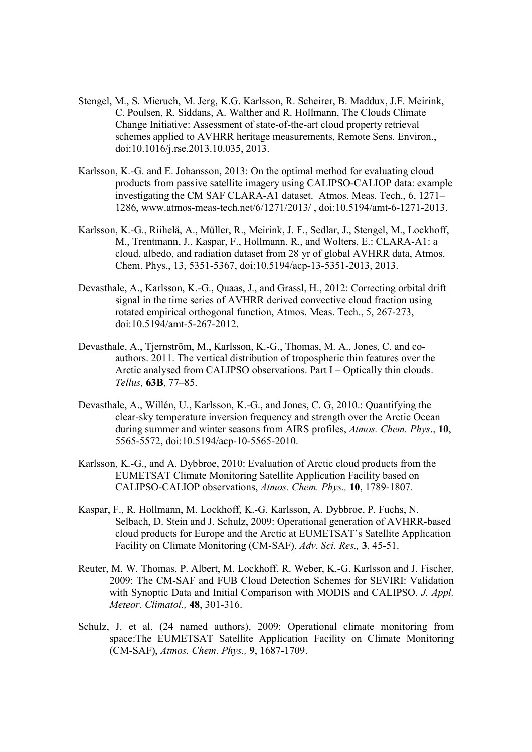- Stengel, M., S. Mieruch, M. Jerg, K.G. Karlsson, R. Scheirer, B. Maddux, J.F. Meirink, C. Poulsen, R. Siddans, A. Walther and R. Hollmann, The Clouds Climate Change Initiative: Assessment of state-of-the-art cloud property retrieval schemes applied to AVHRR heritage measurements, Remote Sens. Environ., doi:10.1016/j.rse.2013.10.035, 2013.
- Karlsson, K.-G. and E. Johansson, 2013: On the optimal method for evaluating cloud products from passive satellite imagery using CALIPSO-CALIOP data: example investigating the CM SAF CLARA-A1 dataset. Atmos. Meas. Tech., 6, 1271– 1286, www.atmos-meas-tech.net/6/1271/2013/ , doi:10.5194/amt-6-1271-2013.
- Karlsson, K.-G., Riihelä, A., Müller, R., Meirink, J. F., Sedlar, J., Stengel, M., Lockhoff, M., Trentmann, J., Kaspar, F., Hollmann, R., and Wolters, E.: CLARA-A1: a cloud, albedo, and radiation dataset from 28 yr of global AVHRR data, Atmos. Chem. Phys., 13, 5351-5367, doi:10.5194/acp-13-5351-2013, 2013.
- Devasthale, A., Karlsson, K.-G., Quaas, J., and Grassl, H., 2012: Correcting orbital drift signal in the time series of AVHRR derived convective cloud fraction using rotated empirical orthogonal function, Atmos. Meas. Tech., 5, 267-273, doi:10.5194/amt-5-267-2012.
- Devasthale, A., Tjernström, M., Karlsson, K.-G., Thomas, M. A., Jones, C. and coauthors. 2011. The vertical distribution of tropospheric thin features over the Arctic analysed from CALIPSO observations. Part I – Optically thin clouds. Tellus, 63B, 77–85.
- Devasthale, A., Willén, U., Karlsson, K.-G., and Jones, C. G, 2010.: Quantifying the clear-sky temperature inversion frequency and strength over the Arctic Ocean during summer and winter seasons from AIRS profiles, Atmos. Chem. Phys., 10, 5565-5572, doi:10.5194/acp-10-5565-2010.
- Karlsson, K.-G., and A. Dybbroe, 2010: Evaluation of Arctic cloud products from the EUMETSAT Climate Monitoring Satellite Application Facility based on CALIPSO-CALIOP observations, Atmos. Chem. Phys., 10, 1789-1807.
- Kaspar, F., R. Hollmann, M. Lockhoff, K.-G. Karlsson, A. Dybbroe, P. Fuchs, N. Selbach, D. Stein and J. Schulz, 2009: Operational generation of AVHRR-based cloud products for Europe and the Arctic at EUMETSAT's Satellite Application Facility on Climate Monitoring (CM-SAF), Adv. Sci. Res., 3, 45-51.
- Reuter, M. W. Thomas, P. Albert, M. Lockhoff, R. Weber, K.-G. Karlsson and J. Fischer, 2009: The CM-SAF and FUB Cloud Detection Schemes for SEVIRI: Validation with Synoptic Data and Initial Comparison with MODIS and CALIPSO. J. Appl. Meteor. Climatol., 48, 301-316.
- Schulz, J. et al. (24 named authors), 2009: Operational climate monitoring from space:The EUMETSAT Satellite Application Facility on Climate Monitoring (CM-SAF), Atmos. Chem. Phys., 9, 1687-1709.